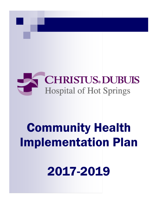

# **Community Health Implementation Plan**

2017-2019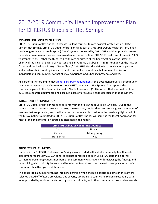# 2017-2019 Community Health Improvement Plan for CHRISTUS Dubuis of Hot Springs

# **MISSION FOR IMPLEMENTATION**

CHRISTUS Dubuis of Hot Springs, Arkansas is a long term acute care hospital located within CHI St. Vincent Hot Springs. CHRISTUS Dubuis of Hot Springs is part of CHRISTUS Dubuis Health System, a nonprofit long term acute care hospital (LTACH) system sponsored by CHRISTUS Health to provide care to patients who require acute care over an extended period of time. CHRISTUS Health was formed in 1999 to strengthen the Catholic faith-based health care ministries of the Congregations of the Sisters of Charity of the Incarnate Word of Houston and San Antonio that began in 1866. Founded on the mission "to extend the healing ministry of Jesus Christ," CHRISTUS Health's vision is to be a leader, a partner, and an advocate in creating innovative health and wellness solutions that improve the lives of individuals and communities so that all may experience God's healing presence and love.

As part of this effort and to meet [federal IRS 990H requirements,](https://www.irs.gov/uac/About-Schedule-H-Form-990) this document serves as a community health improvement plan (CHIP) report for CHRISTUS Dubuis of Hot Springs. This report is the companion piece to the Community Health Needs Assessment (CHNA) report that was finalized June 2016 (see separate document), and based, in part, off of several needs identified in that document.

# **TARGET AREA/ POPULATION**

CHRISTUS Dubuis of Hot Springs sees patients from the following counties in Arkansas. Due to the nature of the long term acute care industry, the regulatory bodies that oversee and govern the types of services that are provided, and the limited resources available to address the needs highlighted within the CHNA, patients admitted to CHRISTUS Dubuis of Hot Springs will serve as the target population for most of the implementation strategies discussed in this report.

| <b>CHRISTUS Dubuis of Hot Springs Counties</b> |            |
|------------------------------------------------|------------|
| Clark                                          | Howard     |
| Garland                                        | Montgomery |
| <b>Hot Springs</b>                             | Pike       |

#### **PRIORITY HEALTH NEEDS**

Leadership for CHRISTUS Dubuis of Hot Springs was provided with a draft community health needs assessment report May 2016. A panel of experts comprised of both CHRISTUS staff and external partners representing various members of the community was tasked with reviewing the findings and determining which priority issues would be selected to address over the next three years as part of a community health implementation plan.

The panel took a number of things into consideration when choosing priorities. Some priorities were selected based off of issue prevalence and severity according to county and regional secondary data. Input provided by key informants, focus group participants, and other community stakeholders was also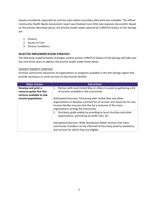heavily considered, especially for priority areas where secondary data were less available. The official Community Health Needs Assessment report was finalized June 2016 (see separate document). Based on the process described above, the priority health needs selected by CHRISTUS Dubuis of Hot Springs are:

- 1. Poverty
- 2. Access to Care
- 3. Chronic Conditions

#### **SELECTED IMPLEMENTATION STRATEGY**

The following implementation strategies outline actions CHRISTUS Dubuis of Hot Springs will take over the next three years to address the priority health needs listed above.

#### *POVERTY PRIORITY STRATEGY*

Increase community awareness of organizations or programs available in the Hot Springs region that provide assistance or social services to low-income families

| <b>Major Actions</b>                                                           | <b>Sub-actions</b>                                                                                                                                                                                                                                |
|--------------------------------------------------------------------------------|---------------------------------------------------------------------------------------------------------------------------------------------------------------------------------------------------------------------------------------------------|
| Develop and print a<br>resource guide that lists<br>services available to low- | 1. Partner with local United Way or others to assist on gathering a list<br>of services available in the community                                                                                                                                |
| income populations                                                             | Anticipated Outcome: Partnering with United Way and other<br>organizations to develop a printed list of services and resources for low-<br>income families ensures that the list is inclusive of the many<br>organizations serving the community. |
|                                                                                | Distribute guide widely by providing to local churches and other<br>2.<br>organizations, promoting at health fairs, etc.                                                                                                                          |
|                                                                                | Anticipated Outcome: Wide distribution better ensures that more<br>community members can be informed of the many poverty assistance<br>and services for which they are eligible.                                                                  |